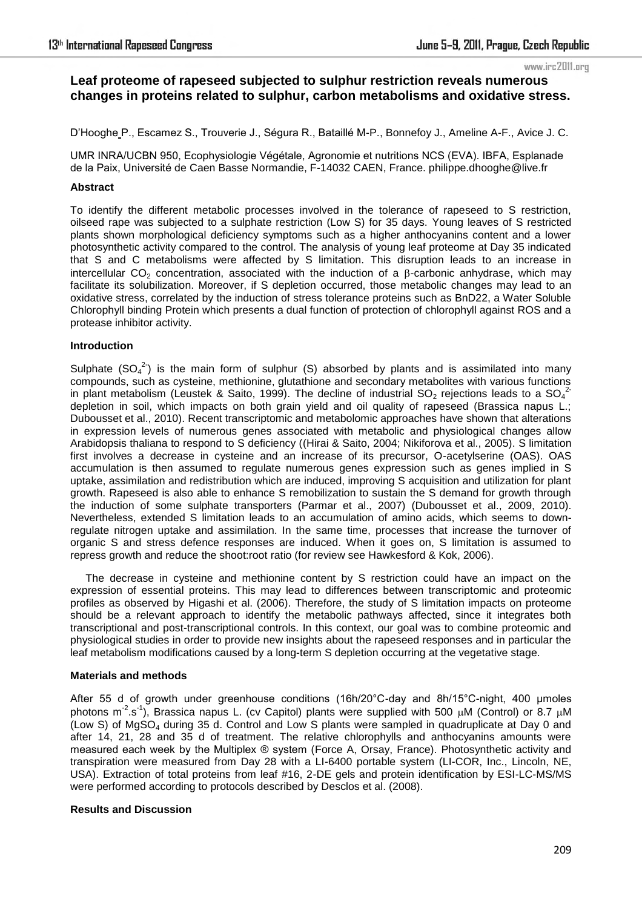# **Leaf proteome of rapeseed subjected to sulphur restriction reveals numerous changes in proteins related to sulphur, carbon metabolisms and oxidative stress.**

D'Hooghe P., Escamez S., Trouverie J., Ségura R., Bataillé M-P., Bonnefoy J., Ameline A-F., Avice J. C.

UMR INRA/UCBN 950, Ecophysiologie Végétale, Agronomie et nutritions NCS (EVA). IBFA, Esplanade de la Paix, Université de Caen Basse Normandie, F-14032 CAEN, France. philippe.dhooghe@live.fr

# **Abstract**

To identify the different metabolic processes involved in the tolerance of rapeseed to S restriction, oilseed rape was subjected to a sulphate restriction (Low S) for 35 days. Young leaves of S restricted plants shown morphological deficiency symptoms such as a higher anthocyanins content and a lower photosynthetic activity compared to the control. The analysis of young leaf proteome at Day 35 indicated that S and C metabolisms were affected by S limitation. This disruption leads to an increase in intercellular  $CO<sub>2</sub>$  concentration, associated with the induction of a  $\beta$ -carbonic anhydrase, which may facilitate its solubilization. Moreover, if S depletion occurred, those metabolic changes may lead to an oxidative stress, correlated by the induction of stress tolerance proteins such as BnD22, a Water Soluble Chlorophyll binding Protein which presents a dual function of protection of chlorophyll against ROS and a protease inhibitor activity.

### **Introduction**

Sulphate  $(SO_4^2)$  is the main form of sulphur (S) absorbed by plants and is assimilated into many compounds, such as cysteine, methionine, glutathione and secondary metabolites with various functions in plant metabolism (Leustek & Saito, 1999). The decline of industrial SO<sub>2</sub> rejections leads to a SO<sub>4</sub><sup>2</sup> depletion in soil, which impacts on both grain yield and oil quality of rapeseed (Brassica napus L.; Dubousset et al., 2010). Recent transcriptomic and metabolomic approaches have shown that alterations in expression levels of numerous genes associated with metabolic and physiological changes allow Arabidopsis thaliana to respond to S deficiency ((Hirai & Saito, 2004; Nikiforova et al., 2005). S limitation first involves a decrease in cysteine and an increase of its precursor, O-acetylserine (OAS). OAS accumulation is then assumed to regulate numerous genes expression such as genes implied in S uptake, assimilation and redistribution which are induced, improving S acquisition and utilization for plant growth. Rapeseed is also able to enhance S remobilization to sustain the S demand for growth through the induction of some sulphate transporters (Parmar et al., 2007) (Dubousset et al., 2009, 2010). Nevertheless, extended S limitation leads to an accumulation of amino acids, which seems to downregulate nitrogen uptake and assimilation. In the same time, processes that increase the turnover of organic S and stress defence responses are induced. When it goes on, S limitation is assumed to repress growth and reduce the shoot:root ratio (for review see Hawkesford & Kok, 2006).

The decrease in cysteine and methionine content by S restriction could have an impact on the expression of essential proteins. This may lead to differences between transcriptomic and proteomic profiles as observed by Higashi et al. (2006). Therefore, the study of S limitation impacts on proteome should be a relevant approach to identify the metabolic pathways affected, since it integrates both transcriptional and post-transcriptional controls. In this context, our goal was to combine proteomic and physiological studies in order to provide new insights about the rapeseed responses and in particular the leaf metabolism modifications caused by a long-term S depletion occurring at the vegetative stage.

# **Materials and methods**

After 55 d of growth under greenhouse conditions  $(16h/20^{\circ}C \text{-day}$  and  $8h/15^{\circ}C \text{-night}$ , 400 µmoles photons m<sup>-2</sup>.s<sup>-1</sup>), Brassica napus L. (cv Capitol) plants were supplied with 500  $\mu$ M (Control) or 8.7  $\mu$ M (Low S) of MgSO<sub>4</sub> during 35 d. Control and Low S plants were sampled in quadruplicate at Day 0 and after 14, 21, 28 and 35 d of treatment. The relative chlorophylls and anthocyanins amounts were measured each week by the Multiplex ® system (Force A, Orsay, France). Photosynthetic activity and transpiration were measured from Day 28 with a LI-6400 portable system (LI-COR, Inc., Lincoln, NE, USA). Extraction of total proteins from leaf #16, 2-DE gels and protein identification by ESI-LC-MS/MS were performed according to protocols described by Desclos et al. (2008).

### **Results and Discussion**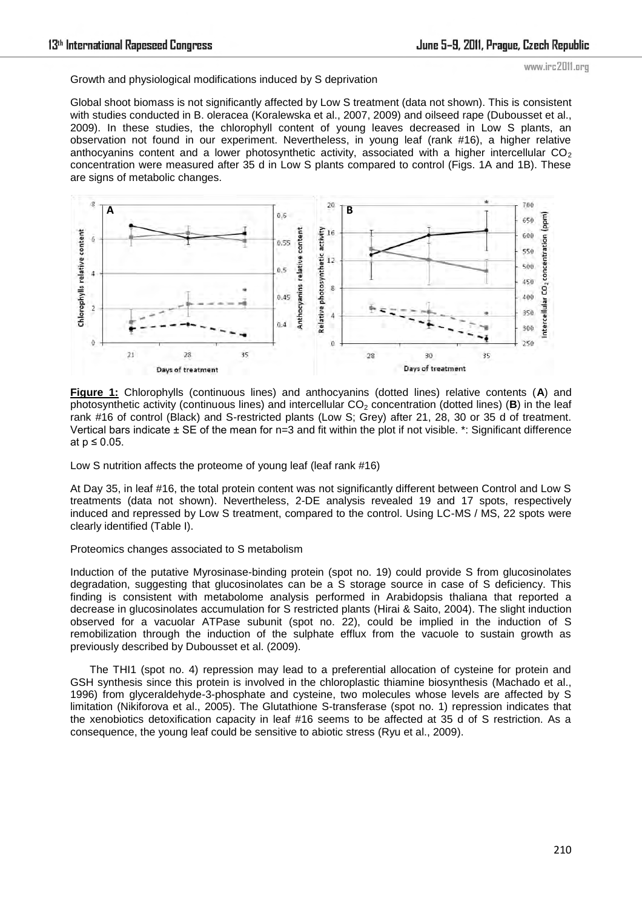Growth and physiological modifications induced by S deprivation

Global shoot biomass is not significantly affected by Low S treatment (data not shown). This is consistent with studies conducted in B. oleracea (Koralewska et al., 2007, 2009) and oilseed rape (Dubousset et al., 2009). In these studies, the chlorophyll content of young leaves decreased in Low S plants, an observation not found in our experiment. Nevertheless, in young leaf (rank #16), a higher relative anthocyanins content and a lower photosynthetic activity, associated with a higher intercellular  $CO<sub>2</sub>$ concentration were measured after 35 d in Low S plants compared to control (Figs. 1A and 1B). These are signs of metabolic changes.



**Figure 1:** Chlorophylls (continuous lines) and anthocyanins (dotted lines) relative contents (**A**) and photosynthetic activity (continuous lines) and intercellular  $CO<sub>2</sub>$  concentration (dotted lines) (**B**) in the leaf rank #16 of control (Black) and S-restricted plants (Low S; Grey) after 21, 28, 30 or 35 d of treatment. Vertical bars indicate  $\pm$  SE of the mean for n=3 and fit within the plot if not visible.  $*$ : Significant difference at  $p \leq 0.05$ .

Low S nutrition affects the proteome of young leaf (leaf rank #16)

At Day 35, in leaf #16, the total protein content was not significantly different between Control and Low S treatments (data not shown). Nevertheless, 2-DE analysis revealed 19 and 17 spots, respectively induced and repressed by Low S treatment, compared to the control. Using LC-MS / MS, 22 spots were clearly identified (Table I).

# Proteomics changes associated to S metabolism

Induction of the putative Myrosinase-binding protein (spot no. 19) could provide S from glucosinolates degradation, suggesting that glucosinolates can be a S storage source in case of S deficiency. This finding is consistent with metabolome analysis performed in Arabidopsis thaliana that reported a decrease in glucosinolates accumulation for S restricted plants (Hirai & Saito, 2004). The slight induction observed for a vacuolar ATPase subunit (spot no. 22), could be implied in the induction of S remobilization through the induction of the sulphate efflux from the vacuole to sustain growth as previously described by Dubousset et al. (2009).

The THI1 (spot no. 4) repression may lead to a preferential allocation of cysteine for protein and GSH synthesis since this protein is involved in the chloroplastic thiamine biosynthesis (Machado et al., 1996) from glyceraldehyde-3-phosphate and cysteine, two molecules whose levels are affected by S limitation (Nikiforova et al., 2005). The Glutathione S-transferase (spot no. 1) repression indicates that the xenobiotics detoxification capacity in leaf #16 seems to be affected at 35 d of S restriction. As a consequence, the young leaf could be sensitive to abiotic stress (Ryu et al., 2009).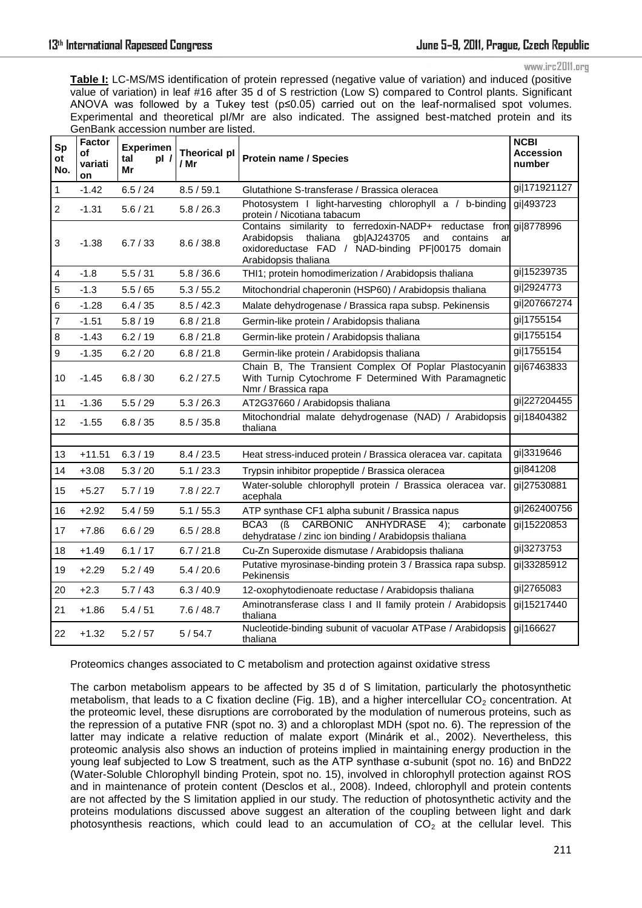**Table I:** LC-MS/MS identification of protein repressed (negative value of variation) and induced (positive value of variation) in leaf #16 after 35 d of S restriction (Low S) compared to Control plants. Significant ANOVA was followed by a Tukey test (p≤0.05) carried out on the leaf-normalised spot volumes. Experimental and theoretical pI/Mr are also indicated. The assigned best-matched protein and its GenBank accession number are listed.

| Sp<br>ot<br>No. | Factor<br>of<br>variati<br>on | <b>Experimen</b><br>tal<br>p!<br>Mr | <b>Theorical pl</b><br>/ Mr | <b>Protein name / Species</b>                                                                                                                                                                            | <b>NCBI</b><br><b>Accession</b><br>number |
|-----------------|-------------------------------|-------------------------------------|-----------------------------|----------------------------------------------------------------------------------------------------------------------------------------------------------------------------------------------------------|-------------------------------------------|
| 1               | $-1.42$                       | 6.5 / 24                            | 8.5 / 59.1                  | Glutathione S-transferase / Brassica oleracea                                                                                                                                                            | gi 171921127                              |
| $\overline{2}$  | $-1.31$                       | 5.6 / 21                            | 5.8 / 26.3                  | Photosystem I light-harvesting chlorophyll a /<br>b-bindina<br>protein / Nicotiana tabacum                                                                                                               | gi 493723                                 |
| 3               | $-1.38$                       | 6.7 / 33                            | 8.6 / 38.8                  | Contains similarity to ferredoxin-NADP+ reductase from<br>thaliana<br>Arabidopsis<br>gb AJ243705<br>and<br>contains<br>ar<br>oxidoreductase FAD / NAD-binding<br>PF 00175 domain<br>Arabidopsis thaliana | gi 8778996                                |
| 4               | $-1.8$                        | 5.5 / 31                            | 5.8 / 36.6                  | THI1; protein homodimerization / Arabidopsis thaliana                                                                                                                                                    | gi 15239735                               |
| 5               | $-1.3$                        | 5.5/65                              | 5.3 / 55.2                  | Mitochondrial chaperonin (HSP60) / Arabidopsis thaliana                                                                                                                                                  | gi 2924773                                |
| 6               | $-1.28$                       | 6.4 / 35                            | 8.5 / 42.3                  | Malate dehydrogenase / Brassica rapa subsp. Pekinensis                                                                                                                                                   | gi 207667274                              |
| 7               | $-1.51$                       | 5.8/19                              | 6.8 / 21.8                  | Germin-like protein / Arabidopsis thaliana                                                                                                                                                               | gi 1755154                                |
| 8               | $-1.43$                       | 6.2 / 19                            | 6.8 / 21.8                  | Germin-like protein / Arabidopsis thaliana                                                                                                                                                               | gi 1755154                                |
| 9               | $-1.35$                       | 6.2 / 20                            | 6.8 / 21.8                  | Germin-like protein / Arabidopsis thaliana                                                                                                                                                               | gi 1755154                                |
| 10              | $-1.45$                       | 6.8 / 30                            | 6.2 / 27.5                  | Chain B, The Transient Complex Of Poplar Plastocyanin<br>With Turnip Cytochrome F Determined With Paramagnetic<br>Nmr / Brassica rapa                                                                    | gi 67463833                               |
| 11              | $-1.36$                       | 5.5/29                              | 5.3 / 26.3                  | AT2G37660 / Arabidopsis thaliana                                                                                                                                                                         | gi 227204455                              |
| 12              | $-1.55$                       | 6.8 / 35                            | 8.5 / 35.8                  | Mitochondrial malate dehydrogenase (NAD) / Arabidopsis<br>thaliana                                                                                                                                       | gi 18404382                               |
|                 |                               |                                     |                             |                                                                                                                                                                                                          |                                           |
| 13              | $+11.51$                      | 6.3 / 19                            | 8.4 / 23.5                  | Heat stress-induced protein / Brassica oleracea var. capitata                                                                                                                                            | gi 3319646                                |
| 14              | $+3.08$                       | 5.3 / 20                            | 5.1 / 23.3                  | Trypsin inhibitor propeptide / Brassica oleracea                                                                                                                                                         | gi 841208                                 |
| 15              | $+5.27$                       | 5.7/19                              | 7.8 / 22.7                  | Water-soluble chlorophyll protein / Brassica oleracea var.<br>acephala                                                                                                                                   | gi 27530881                               |
| 16              | $+2.92$                       | 5.4 / 59                            | 5.1 / 55.3                  | ATP synthase CF1 alpha subunit / Brassica napus                                                                                                                                                          | gi 262400756                              |
| 17              | $+7.86$                       | 6.6 / 29                            | 6.5 / 28.8                  | CARBONIC ANHYDRASE<br>BCA3<br>(S)<br>4);<br>carbonate<br>dehydratase / zinc ion binding / Arabidopsis thaliana                                                                                           | gi 15220853                               |
| 18              | $+1.49$                       | 6.1 / 17                            | 6.7 / 21.8                  | Cu-Zn Superoxide dismutase / Arabidopsis thaliana                                                                                                                                                        | gi 3273753                                |
| 19              | $+2.29$                       | 5.2 / 49                            | 5.4 / 20.6                  | Putative myrosinase-binding protein 3 / Brassica rapa subsp.<br>Pekinensis                                                                                                                               | gi 33285912                               |
| 20              | $+2.3$                        | 5.7/43                              | 6.3 / 40.9                  | 12-oxophytodienoate reductase / Arabidopsis thaliana                                                                                                                                                     | gi 2765083                                |
| 21              | $+1.86$                       | 5.4/51                              | 7.6/48.7                    | Aminotransferase class I and II family protein / Arabidopsis<br>thaliana                                                                                                                                 | gi 15217440                               |
| 22              | $+1.32$                       | 5.2 / 57                            | 5/54.7                      | Nucleotide-binding subunit of vacuolar ATPase / Arabidopsis<br>thaliana                                                                                                                                  | gi 166627                                 |

Proteomics changes associated to C metabolism and protection against oxidative stress

The carbon metabolism appears to be affected by 35 d of S limitation, particularly the photosynthetic metabolism, that leads to a C fixation decline (Fig. 1B), and a higher intercellular  $CO<sub>2</sub>$  concentration. At the proteomic level, these disruptions are corroborated by the modulation of numerous proteins, such as the repression of a putative FNR (spot no. 3) and a chloroplast MDH (spot no. 6). The repression of the latter may indicate a relative reduction of malate export (Minárik et al., 2002). Nevertheless, this proteomic analysis also shows an induction of proteins implied in maintaining energy production in the young leaf subjected to Low S treatment, such as the ATP synthase α-subunit (spot no. 16) and BnD22 (Water-Soluble Chlorophyll binding Protein, spot no. 15), involved in chlorophyll protection against ROS and in maintenance of protein content (Desclos et al., 2008). Indeed, chlorophyll and protein contents are not affected by the S limitation applied in our study. The reduction of photosynthetic activity and the proteins modulations discussed above suggest an alteration of the coupling between light and dark photosynthesis reactions, which could lead to an accumulation of  $CO<sub>2</sub>$  at the cellular level. This